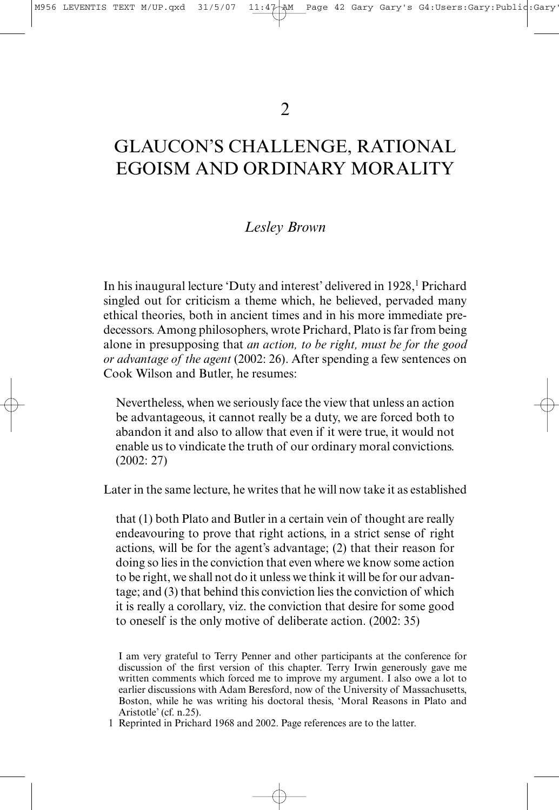$\mathcal{D}_{\mathcal{L}}$ 

# GLAUCON'S CHALLENGE, RATIONAL EGOISM AND ORDINARY MORALITY

# *Lesley Brown*

In his inaugural lecture 'Duty and interest' delivered in 1928,<sup>1</sup> Prichard singled out for criticism a theme which, he believed, pervaded many ethical theories, both in ancient times and in his more immediate predecessors. Among philosophers, wrote Prichard, Plato is far from being alone in presupposing that *an action, to be right, must be for the good or advantage of the agent* (2002: 26). After spending a few sentences on Cook Wilson and Butler, he resumes:

Nevertheless, when we seriously face the view that unless an action be advantageous, it cannot really be a duty, we are forced both to abandon it and also to allow that even if it were true, it would not enable us to vindicate the truth of our ordinary moral convictions. (2002: 27)

Later in the same lecture, he writes that he will now take it as established

that (1) both Plato and Butler in a certain vein of thought are really endeavouring to prove that right actions, in a strict sense of right actions, will be for the agent's advantage; (2) that their reason for doing so lies in the conviction that even where we know some action to be right, we shall not do it unless we think it will be for our advantage; and (3) that behind this conviction lies the conviction of which it is really a corollary, viz. the conviction that desire for some good to oneself is the only motive of deliberate action. (2002: 35)

1 Reprinted in Prichard 1968 and 2002. Page references are to the latter.

I am very grateful to Terry Penner and other participants at the conference for discussion of the first version of this chapter. Terry Irwin generously gave me written comments which forced me to improve my argument. I also owe a lot to earlier discussions with Adam Beresford, now of the University of Massachusetts, Boston, while he was writing his doctoral thesis, 'Moral Reasons in Plato and Aristotle' (cf. n.25).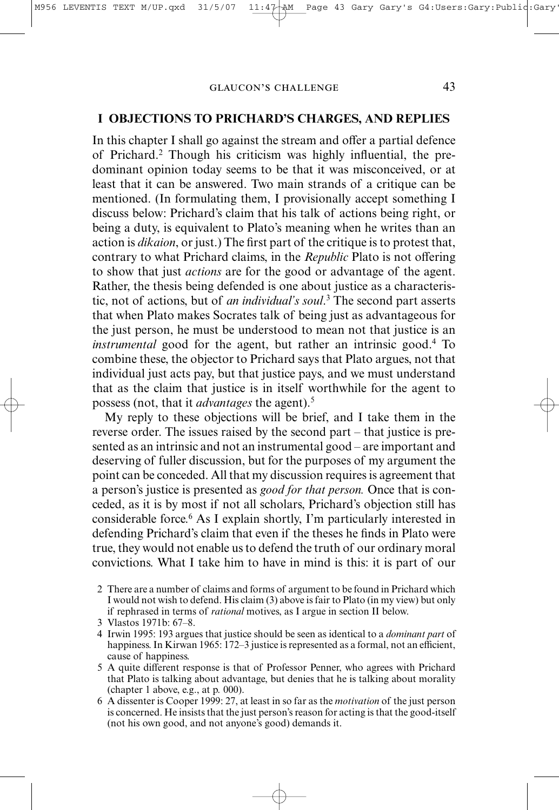# **I OBJECTIONS TO PRICHARD'S CHARGES, AND REPLIES**

In this chapter I shall go against the stream and offer a partial defence of Prichard.2 Though his criticism was highly influential, the predominant opinion today seems to be that it was misconceived, or at least that it can be answered. Two main strands of a critique can be mentioned. (In formulating them, I provisionally accept something I discuss below: Prichard's claim that his talk of actions being right, or being a duty, is equivalent to Plato's meaning when he writes than an action is *dikaion*, or just.) The first part of the critique is to protest that, contrary to what Prichard claims, in the *Republic* Plato is not offering to show that just *actions* are for the good or advantage of the agent. Rather, the thesis being defended is one about justice as a characteristic, not of actions, but of *an individual's soul*. <sup>3</sup> The second part asserts that when Plato makes Socrates talk of being just as advantageous for the just person, he must be understood to mean not that justice is an *instrumental* good for the agent, but rather an intrinsic good.4 To combine these, the objector to Prichard says that Plato argues, not that individual just acts pay, but that justice pays, and we must understand that as the claim that justice is in itself worthwhile for the agent to possess (not, that it *advantages* the agent).5

My reply to these objections will be brief, and I take them in the reverse order. The issues raised by the second part – that justice is presented as an intrinsic and not an instrumental good – are important and deserving of fuller discussion, but for the purposes of my argument the point can be conceded. All that my discussion requires is agreement that a person's justice is presented as *good for that person.* Once that is conceded, as it is by most if not all scholars, Prichard's objection still has considerable force.6 As I explain shortly, I'm particularly interested in defending Prichard's claim that even if the theses he finds in Plato were true, they would not enable us to defend the truth of our ordinary moral convictions. What I take him to have in mind is this: it is part of our

- 5 A quite different response is that of Professor Penner, who agrees with Prichard that Plato is talking about advantage, but denies that he is talking about morality (chapter 1 above, e.g., at p. 000).
- 6 A dissenter is Cooper 1999: 27, at least in so far as the *motivation* of the just person is concerned. He insists that the just person's reason for acting is that the good-itself (not his own good, and not anyone's good) demands it.

<sup>2</sup> There are a number of claims and forms of argument to be found in Prichard which I would not wish to defend. His claim (3) above is fair to Plato (in my view) but only if rephrased in terms of *rational* motives, as I argue in section II below.

<sup>3</sup> Vlastos 1971b: 67–8.

<sup>4</sup> Irwin 1995: 193 argues that justice should be seen as identical to a *dominant part* of happiness. In Kirwan 1965: 172–3 justice is represented as a formal, not an efficient, cause of happiness.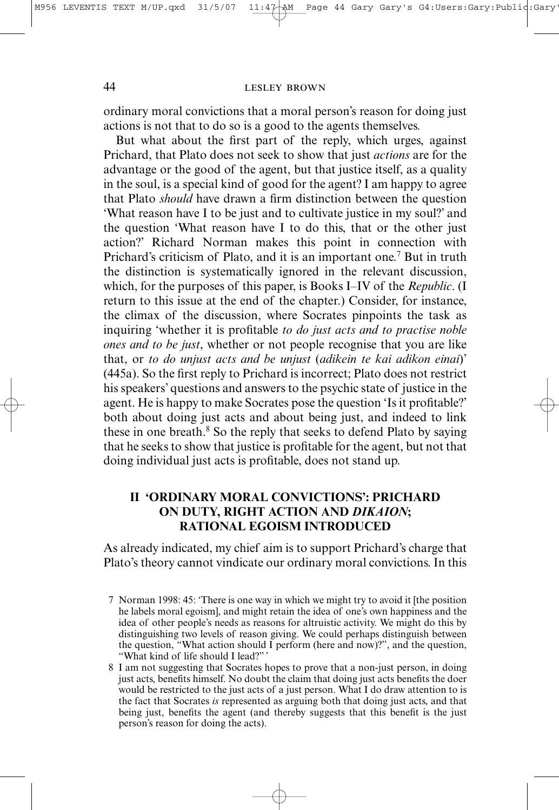ordinary moral convictions that a moral person's reason for doing just actions is not that to do so is a good to the agents themselves.

But what about the first part of the reply, which urges, against Prichard, that Plato does not seek to show that just *actions* are for the advantage or the good of the agent, but that justice itself, as a quality in the soul, is a special kind of good for the agent? I am happy to agree that Plato *should* have drawn a firm distinction between the question 'What reason have I to be just and to cultivate justice in my soul?' and the question 'What reason have I to do this, that or the other just action?' Richard Norman makes this point in connection with Prichard's criticism of Plato, and it is an important one.<sup>7</sup> But in truth the distinction is systematically ignored in the relevant discussion, which, for the purposes of this paper, is Books I–IV of the *Republic*. (I return to this issue at the end of the chapter.) Consider, for instance, the climax of the discussion, where Socrates pinpoints the task as inquiring 'whether it is profitable *to do just acts and to practise noble ones and to be just*, whether or not people recognise that you are like that, or *to do unjust acts and be unjust* (*adikein te kai adikon einai*)' (445a). So the first reply to Prichard is incorrect; Plato does not restrict his speakers' questions and answers to the psychic state of justice in the agent. He is happy to make Socrates pose the question 'Is it profitable?' both about doing just acts and about being just, and indeed to link these in one breath.8 So the reply that seeks to defend Plato by saying that he seeks to show that justice is profitable for the agent, but not that doing individual just acts is profitable, does not stand up.

# **II 'ORDINARY MORAL CONVICTIONS': PRICHARD ON DUTY, RIGHT ACTION AND** *DIKAION***; RATIONAL EGOISM INTRODUCED**

As already indicated, my chief aim is to support Prichard's charge that Plato's theory cannot vindicate our ordinary moral convictions. In this

- 7 Norman 1998: 45: 'There is one way in which we might try to avoid it [the position he labels moral egoism], and might retain the idea of one's own happiness and the idea of other people's needs as reasons for altruistic activity. We might do this by distinguishing two levels of reason giving. We could perhaps distinguish between the question, "What action should I perform (here and now)?", and the question, "What kind of life should I lead?" '
- 8 I am not suggesting that Socrates hopes to prove that a non-just person, in doing just acts, benefits himself. No doubt the claim that doing just acts benefits the doer would be restricted to the just acts of a just person. What I do draw attention to is the fact that Socrates *is* represented as arguing both that doing just acts, and that being just, benefits the agent (and thereby suggests that this benefit is the just person's reason for doing the acts).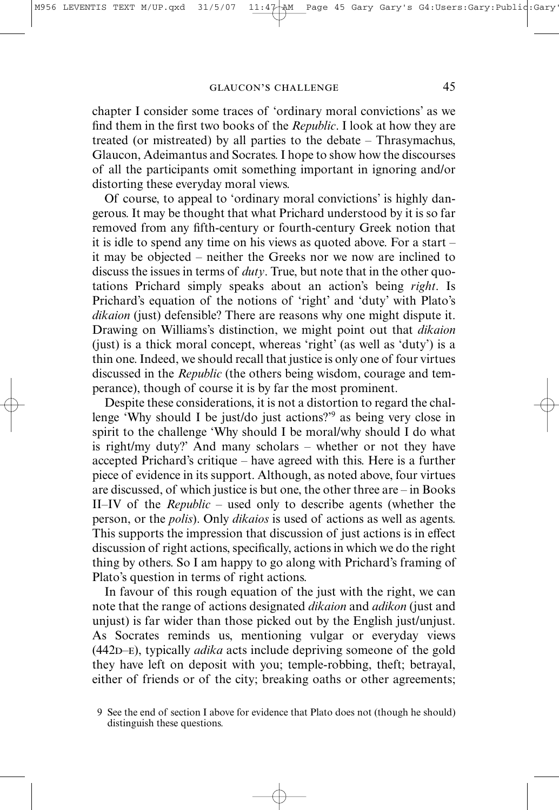chapter I consider some traces of 'ordinary moral convictions' as we find them in the first two books of the *Republic*. I look at how they are

treated (or mistreated) by all parties to the debate – Thrasymachus, Glaucon, Adeimantus and Socrates. I hope to show how the discourses of all the participants omit something important in ignoring and/or distorting these everyday moral views.

Of course, to appeal to 'ordinary moral convictions' is highly dangerous. It may be thought that what Prichard understood by it is so far removed from any fifth-century or fourth-century Greek notion that it is idle to spend any time on his views as quoted above. For a start – it may be objected – neither the Greeks nor we now are inclined to discuss the issues in terms of *duty*. True, but note that in the other quotations Prichard simply speaks about an action's being *right*. Is Prichard's equation of the notions of 'right' and 'duty' with Plato's *dikaion* (just) defensible? There are reasons why one might dispute it. Drawing on Williams's distinction, we might point out that *dikaion* (just) is a thick moral concept, whereas 'right' (as well as 'duty') is a thin one. Indeed, we should recall that justice is only one of four virtues discussed in the *Republic* (the others being wisdom, courage and temperance), though of course it is by far the most prominent.

Despite these considerations, it is not a distortion to regard the challenge 'Why should I be just/do just actions?'9 as being very close in spirit to the challenge 'Why should I be moral/why should I do what is right/my duty?' And many scholars – whether or not they have accepted Prichard's critique – have agreed with this. Here is a further piece of evidence in its support. Although, as noted above, four virtues are discussed, of which justice is but one, the other three are – in Books II–IV of the *Republic* – used only to describe agents (whether the person, or the *polis*). Only *dikaios* is used of actions as well as agents. This supports the impression that discussion of just actions is in effect discussion of right actions, specifically, actions in which we do the right thing by others. So I am happy to go along with Prichard's framing of Plato's question in terms of right actions.

In favour of this rough equation of the just with the right, we can note that the range of actions designated *dikaion* and *adikon* (just and unjust) is far wider than those picked out by the English just/unjust. As Socrates reminds us, mentioning vulgar or everyday views (442‒), typically *adika* acts include depriving someone of the gold they have left on deposit with you; temple-robbing, theft; betrayal, either of friends or of the city; breaking oaths or other agreements;

<sup>9</sup> See the end of section I above for evidence that Plato does not (though he should) distinguish these questions.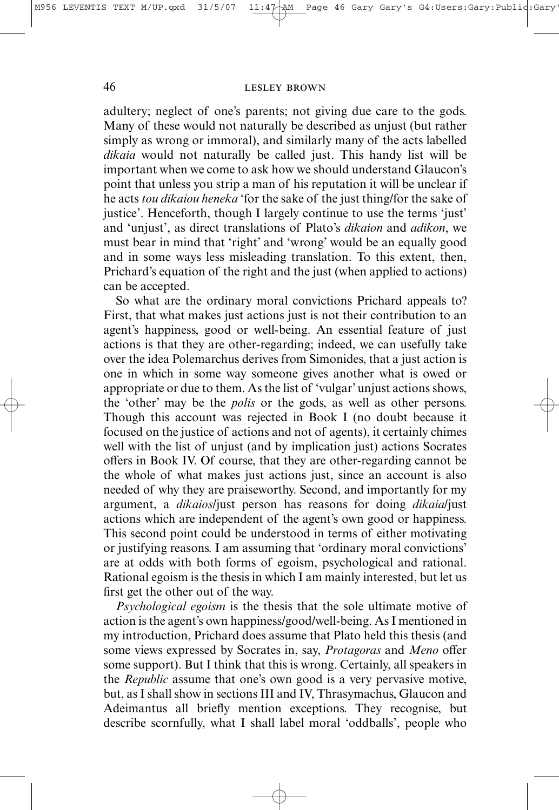adultery; neglect of one's parents; not giving due care to the gods. Many of these would not naturally be described as unjust (but rather simply as wrong or immoral), and similarly many of the acts labelled *dikaia* would not naturally be called just. This handy list will be important when we come to ask how we should understand Glaucon's point that unless you strip a man of his reputation it will be unclear if he acts *tou dikaiou heneka* 'for the sake of the just thing/for the sake of justice'. Henceforth, though I largely continue to use the terms 'just' and 'unjust', as direct translations of Plato's *dikaion* and *adikon*, we must bear in mind that 'right' and 'wrong' would be an equally good and in some ways less misleading translation. To this extent, then, Prichard's equation of the right and the just (when applied to actions) can be accepted.

So what are the ordinary moral convictions Prichard appeals to? First, that what makes just actions just is not their contribution to an agent's happiness, good or well-being. An essential feature of just actions is that they are other-regarding; indeed, we can usefully take over the idea Polemarchus derives from Simonides, that a just action is one in which in some way someone gives another what is owed or appropriate or due to them. As the list of 'vulgar' unjust actions shows, the 'other' may be the *polis* or the gods, as well as other persons. Though this account was rejected in Book I (no doubt because it focused on the justice of actions and not of agents), it certainly chimes well with the list of unjust (and by implication just) actions Socrates offers in Book IV. Of course, that they are other-regarding cannot be the whole of what makes just actions just, since an account is also needed of why they are praiseworthy. Second, and importantly for my argument, a *dikaios*/just person has reasons for doing *dikaia*/just actions which are independent of the agent's own good or happiness. This second point could be understood in terms of either motivating or justifying reasons. I am assuming that 'ordinary moral convictions' are at odds with both forms of egoism, psychological and rational. Rational egoism is the thesis in which I am mainly interested, but let us first get the other out of the way.

*Psychological egoism* is the thesis that the sole ultimate motive of action is the agent's own happiness/good/well-being. As I mentioned in my introduction, Prichard does assume that Plato held this thesis (and some views expressed by Socrates in, say, *Protagoras* and *Meno* offer some support). But I think that this is wrong. Certainly, all speakers in the *Republic* assume that one's own good is a very pervasive motive, but, as I shall show in sections III and IV, Thrasymachus, Glaucon and Adeimantus all briefly mention exceptions. They recognise, but describe scornfully, what I shall label moral 'oddballs', people who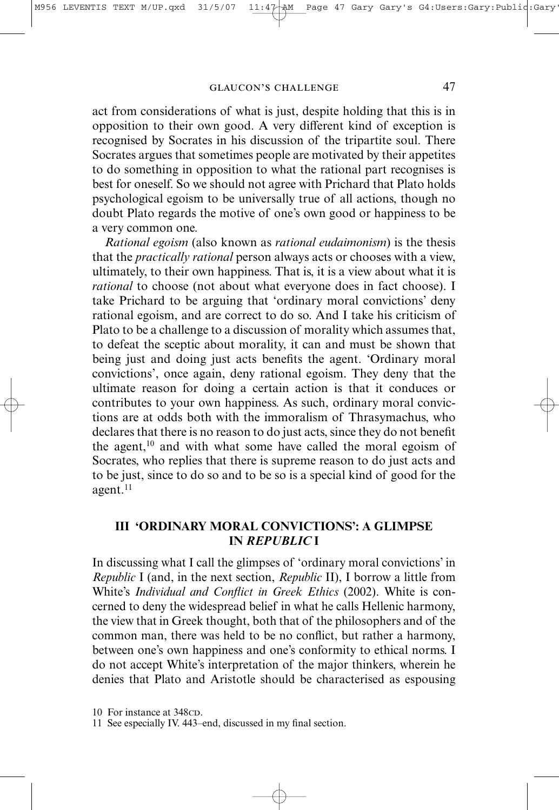M956 LEVENTIS TEXT M/UP.qxd 31/5/07 11:47 AM Page 47 Gary Gary's G4:Users:Gary:Publiq:Gary

act from considerations of what is just, despite holding that this is in opposition to their own good. A very different kind of exception is recognised by Socrates in his discussion of the tripartite soul. There Socrates argues that sometimes people are motivated by their appetites to do something in opposition to what the rational part recognises is best for oneself. So we should not agree with Prichard that Plato holds psychological egoism to be universally true of all actions, though no doubt Plato regards the motive of one's own good or happiness to be a very common one.

*Rational egoism* (also known as *rational eudaimonism*) is the thesis that the *practically rational* person always acts or chooses with a view, ultimately, to their own happiness. That is, it is a view about what it is *rational* to choose (not about what everyone does in fact choose). I take Prichard to be arguing that 'ordinary moral convictions' deny rational egoism, and are correct to do so. And I take his criticism of Plato to be a challenge to a discussion of morality which assumes that, to defeat the sceptic about morality, it can and must be shown that being just and doing just acts benefits the agent. 'Ordinary moral convictions', once again, deny rational egoism. They deny that the ultimate reason for doing a certain action is that it conduces or contributes to your own happiness. As such, ordinary moral convictions are at odds both with the immoralism of Thrasymachus, who declares that there is no reason to do just acts, since they do not benefit the agent, $10$  and with what some have called the moral egoism of Socrates, who replies that there is supreme reason to do just acts and to be just, since to do so and to be so is a special kind of good for the agent. $11$ 

# **III 'ORDINARY MORAL CONVICTIONS': A GLIMPSE IN** *REPUBLIC* **I**

In discussing what I call the glimpses of 'ordinary moral convictions' in *Republic* I (and, in the next section, *Republic* II), I borrow a little from White's *Individual and Conflict in Greek Ethics* (2002). White is concerned to deny the widespread belief in what he calls Hellenic harmony, the view that in Greek thought, both that of the philosophers and of the common man, there was held to be no conflict, but rather a harmony, between one's own happiness and one's conformity to ethical norms. I do not accept White's interpretation of the major thinkers, wherein he denies that Plato and Aristotle should be characterised as espousing

10 For instance at 348CD.

11 See especially IV. 443–end, discussed in my final section.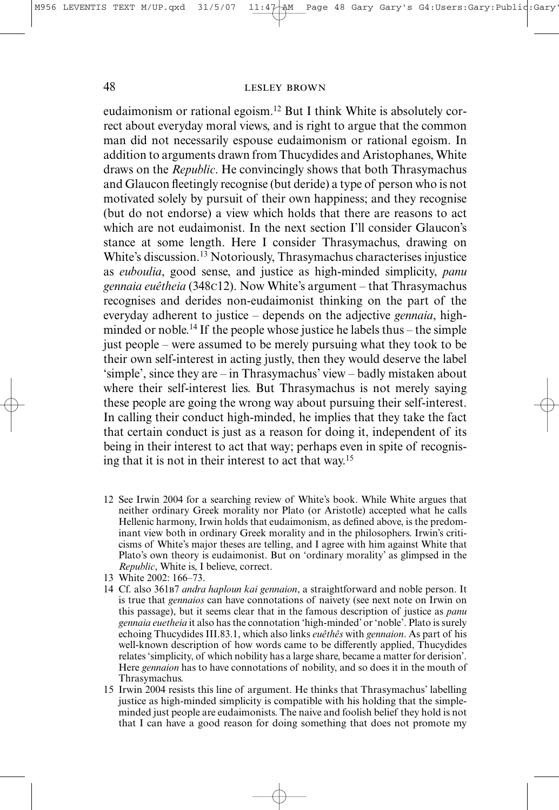eudaimonism or rational egoism.12 But I think White is absolutely correct about everyday moral views, and is right to argue that the common man did not necessarily espouse eudaimonism or rational egoism. In addition to arguments drawn from Thucydides and Aristophanes, White draws on the *Republic*. He convincingly shows that both Thrasymachus and Glaucon fleetingly recognise (but deride) a type of person who is not motivated solely by pursuit of their own happiness; and they recognise (but do not endorse) a view which holds that there are reasons to act which are not eudaimonist. In the next section I'll consider Glaucon's stance at some length. Here I consider Thrasymachus, drawing on White's discussion.13 Notoriously, Thrasymachus characterises injustice as *euboulia*, good sense, and justice as high-minded simplicity, *panu gennaia euêtheia* (34812). Now White's argument – that Thrasymachus recognises and derides non-eudaimonist thinking on the part of the everyday adherent to justice – depends on the adjective *gennaia*, highminded or noble.<sup>14</sup> If the people whose justice he labels thus – the simple just people – were assumed to be merely pursuing what they took to be their own self-interest in acting justly, then they would deserve the label 'simple', since they are – in Thrasymachus' view – badly mistaken about where their self-interest lies. But Thrasymachus is not merely saying these people are going the wrong way about pursuing their self-interest. In calling their conduct high-minded, he implies that they take the fact that certain conduct is just as a reason for doing it, independent of its being in their interest to act that way; perhaps even in spite of recognising that it is not in their interest to act that way.15

12 See Irwin 2004 for a searching review of White's book. While White argues that neither ordinary Greek morality nor Plato (or Aristotle) accepted what he calls Hellenic harmony, Irwin holds that eudaimonism, as defined above, is the predominant view both in ordinary Greek morality and in the philosophers. Irwin's criticisms of White's major theses are telling, and I agree with him against White that Plato's own theory is eudaimonist. But on 'ordinary morality' as glimpsed in the *Republic*, White is, I believe, correct.

- 14 Cf. also 3617 *andra haploun kai gennaion*, a straightforward and noble person. It is true that *gennaios* can have connotations of naivety (see next note on Irwin on this passage), but it seems clear that in the famous description of justice as *panu gennaia euetheia* it also has the connotation 'high-minded' or 'noble'. Plato is surely echoing Thucydides III.83.1, which also links *euêthês* with *gennaion*. As part of his well-known description of how words came to be differently applied, Thucydides relates 'simplicity, of which nobility has a large share, became a matter for derision'. Here *gennaion* has to have connotations of nobility, and so does it in the mouth of Thrasymachus.
- 15 Irwin 2004 resists this line of argument. He thinks that Thrasymachus' labelling justice as high-minded simplicity is compatible with his holding that the simpleminded just people are eudaimonists. The naive and foolish belief they hold is not that I can have a good reason for doing something that does not promote my

<sup>13</sup> White 2002: 166–73.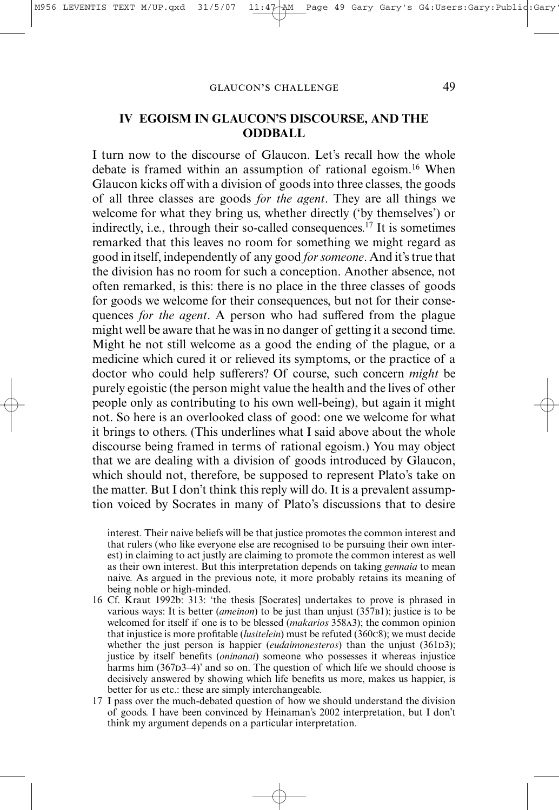# **IV EGOISM IN GLAUCON'S DISCOURSE, AND THE ODDBALL**

I turn now to the discourse of Glaucon. Let's recall how the whole debate is framed within an assumption of rational egoism.16 When Glaucon kicks off with a division of goods into three classes, the goods of all three classes are goods *for the agent*. They are all things we welcome for what they bring us, whether directly ('by themselves') or indirectly, i.e., through their so-called consequences.17 It is sometimes remarked that this leaves no room for something we might regard as good in itself, independently of any good *for someone*. And it's true that the division has no room for such a conception. Another absence, not often remarked, is this: there is no place in the three classes of goods for goods we welcome for their consequences, but not for their consequences *for the agent*. A person who had suffered from the plague might well be aware that he was in no danger of getting it a second time. Might he not still welcome as a good the ending of the plague, or a medicine which cured it or relieved its symptoms, or the practice of a doctor who could help sufferers? Of course, such concern *might* be purely egoistic (the person might value the health and the lives of other people only as contributing to his own well-being), but again it might not. So here is an overlooked class of good: one we welcome for what it brings to others. (This underlines what I said above about the whole discourse being framed in terms of rational egoism.) You may object that we are dealing with a division of goods introduced by Glaucon, which should not, therefore, be supposed to represent Plato's take on the matter. But I don't think this reply will do. It is a prevalent assumption voiced by Socrates in many of Plato's discussions that to desire

interest. Their naive beliefs will be that justice promotes the common interest and that rulers (who like everyone else are recognised to be pursuing their own interest) in claiming to act justly are claiming to promote the common interest as well as their own interest. But this interpretation depends on taking *gennaia* to mean naive. As argued in the previous note, it more probably retains its meaning of being noble or high-minded.

- 16 Cf. Kraut 1992b: 313: 'the thesis [Socrates] undertakes to prove is phrased in various ways: It is better (*ameinon*) to be just than unjust (357<sup>B1</sup>); justice is to be welcomed for itself if one is to be blessed (*makarios* 358A3); the common opinion that injustice is more profitable (*lusitelein*) must be refuted (3608); we must decide whether the just person is happier *(eudaimonesteros)* than the unjust (361b3); justice by itself benefits (*oninanai*) someone who possesses it whereas injustice harms him (367p3-4)' and so on. The question of which life we should choose is decisively answered by showing which life benefits us more, makes us happier, is better for us etc.: these are simply interchangeable.
- 17 I pass over the much-debated question of how we should understand the division of goods. I have been convinced by Heinaman's 2002 interpretation, but I don't think my argument depends on a particular interpretation.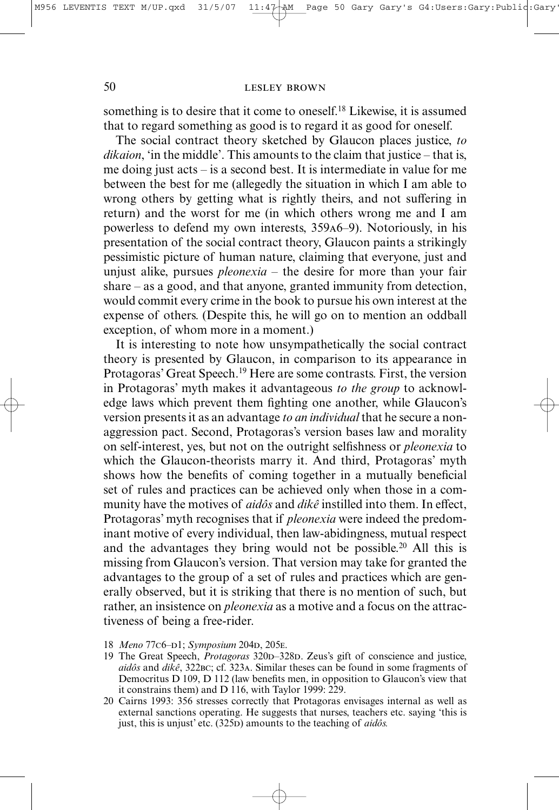something is to desire that it come to oneself.18 Likewise, it is assumed that to regard something as good is to regard it as good for oneself.

The social contract theory sketched by Glaucon places justice, *to dikaion*, 'in the middle'. This amounts to the claim that justice – that is, me doing just acts – is a second best. It is intermediate in value for me between the best for me (allegedly the situation in which I am able to wrong others by getting what is rightly theirs, and not suffering in return) and the worst for me (in which others wrong me and I am powerless to defend my own interests, 3596–9). Notoriously, in his presentation of the social contract theory, Glaucon paints a strikingly pessimistic picture of human nature, claiming that everyone, just and unjust alike, pursues *pleonexia* – the desire for more than your fair share – as a good, and that anyone, granted immunity from detection, would commit every crime in the book to pursue his own interest at the expense of others. (Despite this, he will go on to mention an oddball exception, of whom more in a moment.)

It is interesting to note how unsympathetically the social contract theory is presented by Glaucon, in comparison to its appearance in Protagoras' Great Speech.19 Here are some contrasts. First, the version in Protagoras' myth makes it advantageous *to the group* to acknowledge laws which prevent them fighting one another, while Glaucon's version presents it as an advantage *to an individual* that he secure a nonaggression pact. Second, Protagoras's version bases law and morality on self-interest, yes, but not on the outright selfishness or *pleonexia* to which the Glaucon-theorists marry it. And third, Protagoras' myth shows how the benefits of coming together in a mutually beneficial set of rules and practices can be achieved only when those in a community have the motives of *aidôs* and *dikê* instilled into them. In effect, Protagoras' myth recognises that if *pleonexia* were indeed the predominant motive of every individual, then law-abidingness, mutual respect and the advantages they bring would not be possible.<sup>20</sup> All this is missing from Glaucon's version. That version may take for granted the advantages to the group of a set of rules and practices which are generally observed, but it is striking that there is no mention of such, but rather, an insistence on *pleonexia* as a motive and a focus on the attractiveness of being a free-rider.

<sup>18</sup> *Meno* 77c6–D1; *Symposium* 204D, 205E.

<sup>19</sup> The Great Speech, *Protagoras* 320p-328p. Zeus's gift of conscience and justice, aidôs and dikê, 322<sub>BC</sub>; cf. 323<sub>A</sub>. Similar theses can be found in some fragments of Democritus D 109, D 112 (law benefits men, in opposition to Glaucon's view that it constrains them) and D 116, with Taylor 1999: 229.

<sup>20</sup> Cairns 1993: 356 stresses correctly that Protagoras envisages internal as well as external sanctions operating. He suggests that nurses, teachers etc. saying 'this is just, this is unjust' etc. (325) amounts to the teaching of *aidôs.*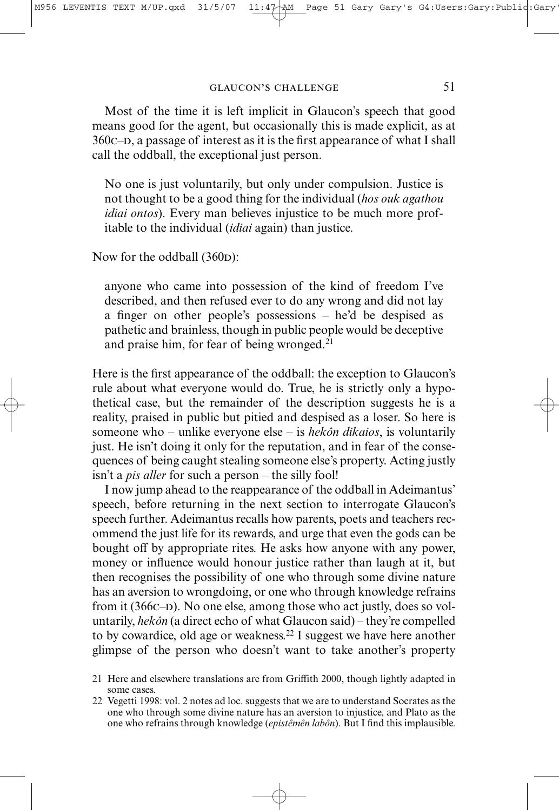Most of the time it is left implicit in Glaucon's speech that good means good for the agent, but occasionally this is made explicit, as at  $360c - D$ , a passage of interest as it is the first appearance of what I shall call the oddball, the exceptional just person.

No one is just voluntarily, but only under compulsion. Justice is not thought to be a good thing for the individual (*hos ouk agathou idiai ontos*). Every man believes injustice to be much more profitable to the individual (*idiai* again) than justice.

Now for the oddball (360<sub>D</sub>):

anyone who came into possession of the kind of freedom I've described, and then refused ever to do any wrong and did not lay a finger on other people's possessions – he'd be despised as pathetic and brainless, though in public people would be deceptive and praise him, for fear of being wronged.21

Here is the first appearance of the oddball: the exception to Glaucon's rule about what everyone would do. True, he is strictly only a hypothetical case, but the remainder of the description suggests he is a reality, praised in public but pitied and despised as a loser. So here is someone who – unlike everyone else – is *hekôn dikaios*, is voluntarily just. He isn't doing it only for the reputation, and in fear of the consequences of being caught stealing someone else's property. Acting justly isn't a *pis aller* for such a person – the silly fool!

I now jump ahead to the reappearance of the oddball in Adeimantus' speech, before returning in the next section to interrogate Glaucon's speech further. Adeimantus recalls how parents, poets and teachers recommend the just life for its rewards, and urge that even the gods can be bought off by appropriate rites. He asks how anyone with any power, money or influence would honour justice rather than laugh at it, but then recognises the possibility of one who through some divine nature has an aversion to wrongdoing, or one who through knowledge refrains from it (366c–D). No one else, among those who act justly, does so voluntarily, *hekôn* (a direct echo of what Glaucon said) – they're compelled to by cowardice, old age or weakness.<sup>22</sup> I suggest we have here another glimpse of the person who doesn't want to take another's property

<sup>21</sup> Here and elsewhere translations are from Griffith 2000, though lightly adapted in some cases.

<sup>22</sup> Vegetti 1998: vol. 2 notes ad loc. suggests that we are to understand Socrates as the one who through some divine nature has an aversion to injustice, and Plato as the one who refrains through knowledge (*epistêmên labôn*). But I find this implausible.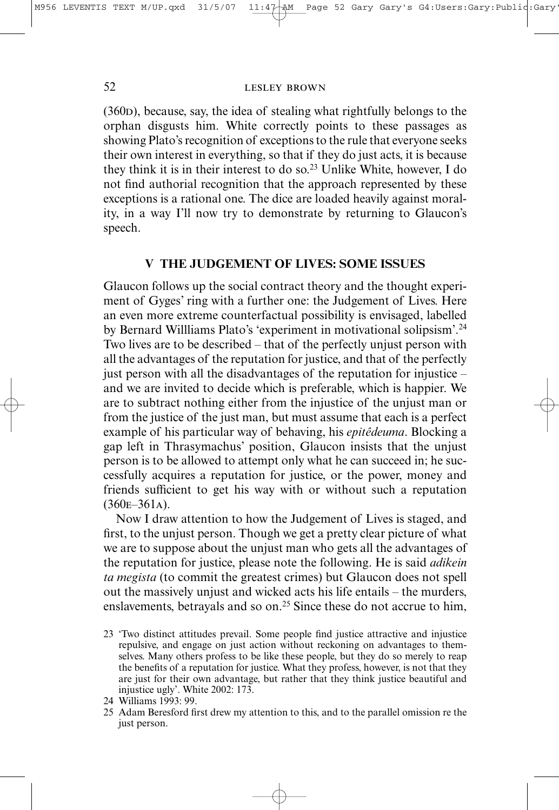(360), because, say, the idea of stealing what rightfully belongs to the orphan disgusts him. White correctly points to these passages as showing Plato's recognition of exceptions to the rule that everyone seeks their own interest in everything, so that if they do just acts, it is because they think it is in their interest to do so.23 Unlike White, however, I do not find authorial recognition that the approach represented by these exceptions is a rational one. The dice are loaded heavily against morality, in a way I'll now try to demonstrate by returning to Glaucon's speech.

# **V THE JUDGEMENT OF LIVES: SOME ISSUES**

Glaucon follows up the social contract theory and the thought experiment of Gyges' ring with a further one: the Judgement of Lives. Here an even more extreme counterfactual possibility is envisaged, labelled by Bernard Willliams Plato's 'experiment in motivational solipsism'.24 Two lives are to be described – that of the perfectly unjust person with all the advantages of the reputation for justice, and that of the perfectly just person with all the disadvantages of the reputation for injustice – and we are invited to decide which is preferable, which is happier. We are to subtract nothing either from the injustice of the unjust man or from the justice of the just man, but must assume that each is a perfect example of his particular way of behaving, his *epitêdeuma*. Blocking a gap left in Thrasymachus' position, Glaucon insists that the unjust person is to be allowed to attempt only what he can succeed in; he successfully acquires a reputation for justice, or the power, money and friends sufficient to get his way with or without such a reputation  $(360E-361A).$ 

Now I draw attention to how the Judgement of Lives is staged, and first, to the unjust person. Though we get a pretty clear picture of what we are to suppose about the unjust man who gets all the advantages of the reputation for justice, please note the following. He is said *adikein ta megista* (to commit the greatest crimes) but Glaucon does not spell out the massively unjust and wicked acts his life entails – the murders, enslavements, betrayals and so on.<sup>25</sup> Since these do not accrue to him,

<sup>23 &#</sup>x27;Two distinct attitudes prevail. Some people find justice attractive and injustice repulsive, and engage on just action without reckoning on advantages to themselves. Many others profess to be like these people, but they do so merely to reap the benefits of a reputation for justice. What they profess, however, is not that they are just for their own advantage, but rather that they think justice beautiful and injustice ugly'. White 2002: 173.

<sup>24</sup> Williams 1993: 99.

<sup>25</sup> Adam Beresford first drew my attention to this, and to the parallel omission re the just person.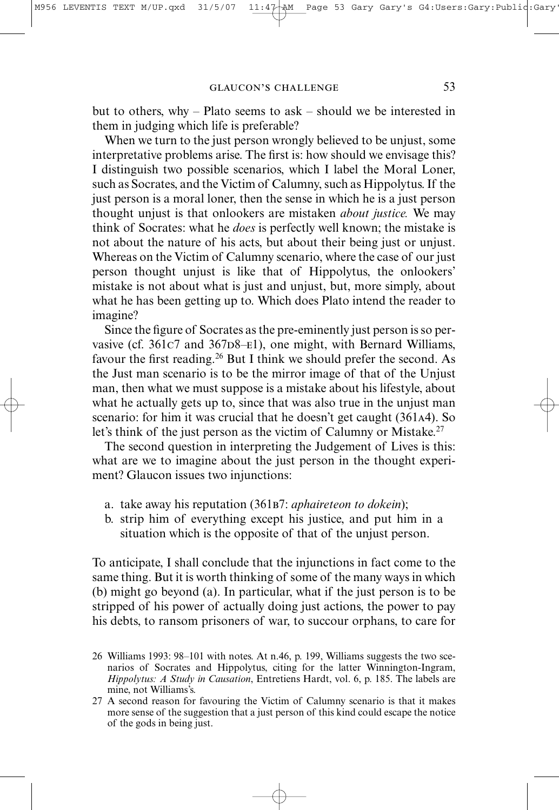but to others, why – Plato seems to ask – should we be interested in them in judging which life is preferable?

When we turn to the just person wrongly believed to be unjust, some interpretative problems arise. The first is: how should we envisage this? I distinguish two possible scenarios, which I label the Moral Loner, such as Socrates, and the Victim of Calumny, such as Hippolytus. If the just person is a moral loner, then the sense in which he is a just person thought unjust is that onlookers are mistaken *about justice.* We may think of Socrates: what he *does* is perfectly well known; the mistake is not about the nature of his acts, but about their being just or unjust. Whereas on the Victim of Calumny scenario, where the case of our just person thought unjust is like that of Hippolytus, the onlookers' mistake is not about what is just and unjust, but, more simply, about what he has been getting up to. Which does Plato intend the reader to imagine?

Since the figure of Socrates as the pre-eminently just person is so pervasive (cf.  $361c7$  and  $367D8-E1$ ), one might, with Bernard Williams, favour the first reading.<sup>26</sup> But I think we should prefer the second. As the Just man scenario is to be the mirror image of that of the Unjust man, then what we must suppose is a mistake about his lifestyle, about what he actually gets up to, since that was also true in the unjust man scenario: for him it was crucial that he doesn't get caught (361 $\alpha$ 4). So let's think of the just person as the victim of Calumny or Mistake.27

The second question in interpreting the Judgement of Lives is this: what are we to imagine about the just person in the thought experiment? Glaucon issues two injunctions:

- a. take away his reputation (3617: *aphaireteon to dokein*);
- b. strip him of everything except his justice, and put him in a situation which is the opposite of that of the unjust person.

To anticipate, I shall conclude that the injunctions in fact come to the same thing. But it is worth thinking of some of the many ways in which (b) might go beyond (a). In particular, what if the just person is to be stripped of his power of actually doing just actions, the power to pay his debts, to ransom prisoners of war, to succour orphans, to care for

<sup>26</sup> Williams 1993: 98–101 with notes. At n.46, p. 199, Williams suggests the two scenarios of Socrates and Hippolytus, citing for the latter Winnington-Ingram, *Hippolytus: A Study in Causation*, Entretiens Hardt, vol. 6, p. 185. The labels are mine, not Williams's.

<sup>27</sup> A second reason for favouring the Victim of Calumny scenario is that it makes more sense of the suggestion that a just person of this kind could escape the notice of the gods in being just.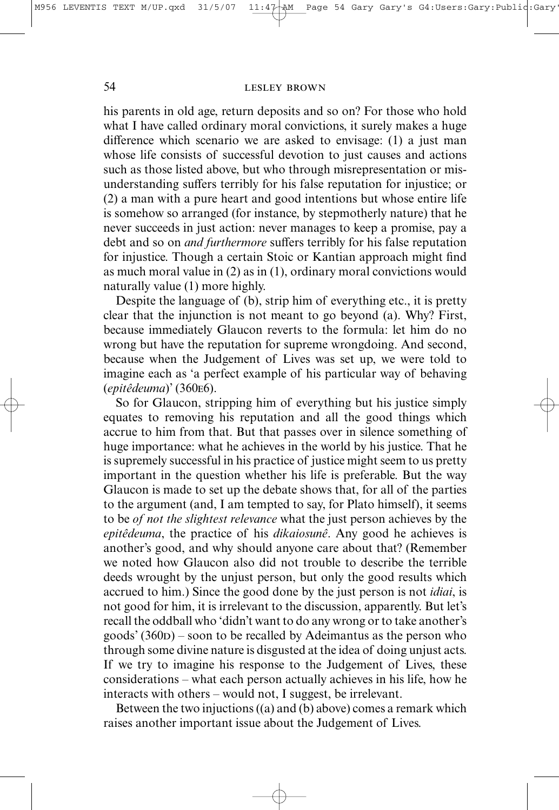his parents in old age, return deposits and so on? For those who hold what I have called ordinary moral convictions, it surely makes a huge difference which scenario we are asked to envisage: (1) a just man whose life consists of successful devotion to just causes and actions such as those listed above, but who through misrepresentation or misunderstanding suffers terribly for his false reputation for injustice; or (2) a man with a pure heart and good intentions but whose entire life is somehow so arranged (for instance, by stepmotherly nature) that he never succeeds in just action: never manages to keep a promise, pay a debt and so on *and furthermore* suffers terribly for his false reputation for injustice. Though a certain Stoic or Kantian approach might find as much moral value in (2) as in (1), ordinary moral convictions would naturally value (1) more highly.

Despite the language of (b), strip him of everything etc., it is pretty clear that the injunction is not meant to go beyond (a). Why? First, because immediately Glaucon reverts to the formula: let him do no wrong but have the reputation for supreme wrongdoing. And second, because when the Judgement of Lives was set up, we were told to imagine each as 'a perfect example of his particular way of behaving (*epitêdeuma*)' (3606).

So for Glaucon, stripping him of everything but his justice simply equates to removing his reputation and all the good things which accrue to him from that. But that passes over in silence something of huge importance: what he achieves in the world by his justice. That he is supremely successful in his practice of justice might seem to us pretty important in the question whether his life is preferable. But the way Glaucon is made to set up the debate shows that, for all of the parties to the argument (and, I am tempted to say, for Plato himself), it seems to be *of not the slightest relevance* what the just person achieves by the *epitêdeuma*, the practice of his *dikaiosunê*. Any good he achieves is another's good, and why should anyone care about that? (Remember we noted how Glaucon also did not trouble to describe the terrible deeds wrought by the unjust person, but only the good results which accrued to him.) Since the good done by the just person is not *idiai*, is not good for him, it is irrelevant to the discussion, apparently. But let's recall the oddball who 'didn't want to do any wrong or to take another's goods'  $(360<sub>D</sub>)$  – soon to be recalled by Adeimantus as the person who through some divine nature is disgusted at the idea of doing unjust acts. If we try to imagine his response to the Judgement of Lives, these considerations – what each person actually achieves in his life, how he interacts with others – would not, I suggest, be irrelevant.

Between the two injuctions ((a) and (b) above) comes a remark which raises another important issue about the Judgement of Lives.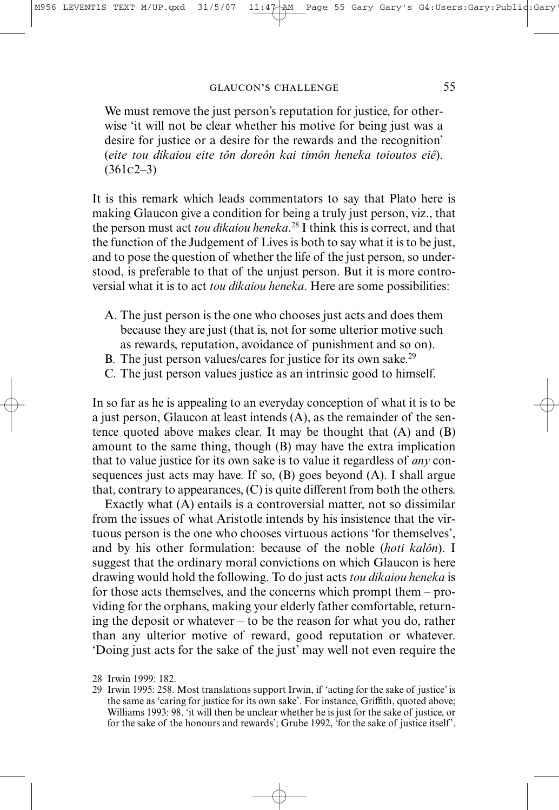We must remove the just person's reputation for justice, for otherwise 'it will not be clear whether his motive for being just was a desire for justice or a desire for the rewards and the recognition' (*eite tou dikaiou eite tôn doreôn kai timôn heneka toioutos eiê*).  $(361c2-3)$ 

It is this remark which leads commentators to say that Plato here is making Glaucon give a condition for being a truly just person, viz., that the person must act *tou dikaiou heneka*. <sup>28</sup> I think this is correct, and that the function of the Judgement of Lives is both to say what it is to be just, and to pose the question of whether the life of the just person, so understood, is preferable to that of the unjust person. But it is more controversial what it is to act *tou dikaiou heneka*. Here are some possibilities:

- A. The just person is the one who chooses just acts and does them because they are just (that is, not for some ulterior motive such as rewards, reputation, avoidance of punishment and so on).
- B. The just person values/cares for justice for its own sake.<sup>29</sup>
- C. The just person values justice as an intrinsic good to himself.

In so far as he is appealing to an everyday conception of what it is to be a just person, Glaucon at least intends (A), as the remainder of the sentence quoted above makes clear. It may be thought that (A) and (B) amount to the same thing, though (B) may have the extra implication that to value justice for its own sake is to value it regardless of *any* consequences just acts may have. If so, (B) goes beyond (A). I shall argue that, contrary to appearances, (C) is quite different from both the others.

Exactly what (A) entails is a controversial matter, not so dissimilar from the issues of what Aristotle intends by his insistence that the virtuous person is the one who chooses virtuous actions 'for themselves', and by his other formulation: because of the noble (*hoti kalôn*). I suggest that the ordinary moral convictions on which Glaucon is here drawing would hold the following. To do just acts *tou dikaiou heneka* is for those acts themselves, and the concerns which prompt them – providing for the orphans, making your elderly father comfortable, returning the deposit or whatever – to be the reason for what you do, rather than any ulterior motive of reward, good reputation or whatever. 'Doing just acts for the sake of the just' may well not even require the

<sup>28</sup> Irwin 1999: 182.

<sup>29</sup> Irwin 1995: 258. Most translations support Irwin, if 'acting for the sake of justice' is the same as 'caring for justice for its own sake'. For instance, Griffith, quoted above; Williams 1993: 98, 'it will then be unclear whether he is just for the sake of justice, or for the sake of the honours and rewards'; Grube 1992, 'for the sake of justice itself'.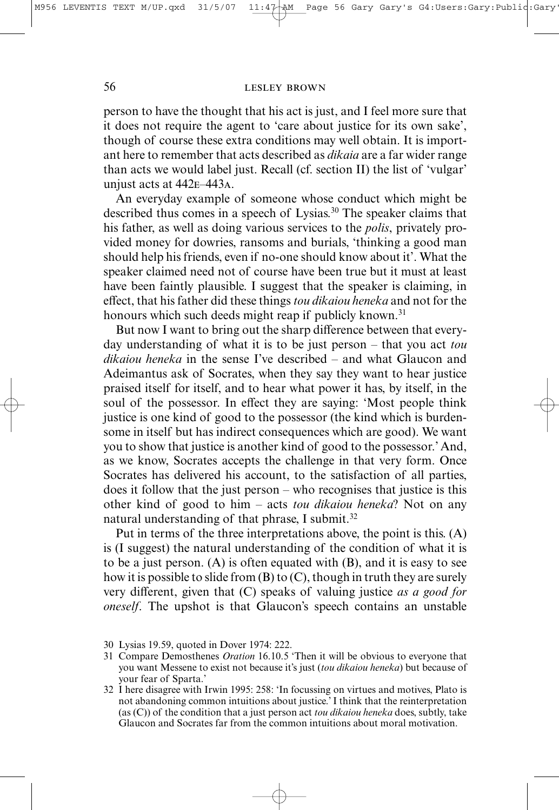person to have the thought that his act is just, and I feel more sure that it does not require the agent to 'care about justice for its own sake', though of course these extra conditions may well obtain. It is important here to remember that acts described as *dikaia* are a far wider range than acts we would label just. Recall (cf. section II) the list of 'vulgar' unjust acts at  $442E-443A$ .

An everyday example of someone whose conduct which might be described thus comes in a speech of Lysias.<sup>30</sup> The speaker claims that his father, as well as doing various services to the *polis*, privately provided money for dowries, ransoms and burials, 'thinking a good man should help his friends, even if no-one should know about it'. What the speaker claimed need not of course have been true but it must at least have been faintly plausible. I suggest that the speaker is claiming, in effect, that his father did these things *tou dikaiou heneka* and not for the honours which such deeds might reap if publicly known.<sup>31</sup>

But now I want to bring out the sharp difference between that everyday understanding of what it is to be just person – that you act *tou dikaiou heneka* in the sense I've described – and what Glaucon and Adeimantus ask of Socrates, when they say they want to hear justice praised itself for itself, and to hear what power it has, by itself, in the soul of the possessor. In effect they are saying: 'Most people think justice is one kind of good to the possessor (the kind which is burdensome in itself but has indirect consequences which are good). We want you to show that justice is another kind of good to the possessor.' And, as we know, Socrates accepts the challenge in that very form. Once Socrates has delivered his account, to the satisfaction of all parties, does it follow that the just person – who recognises that justice is this other kind of good to him – acts *tou dikaiou heneka*? Not on any natural understanding of that phrase, I submit.<sup>32</sup>

Put in terms of the three interpretations above, the point is this. (A) is (I suggest) the natural understanding of the condition of what it is to be a just person. (A) is often equated with (B), and it is easy to see how it is possible to slide from (B) to (C), though in truth they are surely very different, given that (C) speaks of valuing justice *as a good for oneself*. The upshot is that Glaucon's speech contains an unstable

<sup>30</sup> Lysias 19.59, quoted in Dover 1974: 222.

<sup>31</sup> Compare Demosthenes *Oration* 16.10.5 'Then it will be obvious to everyone that you want Messene to exist not because it's just (*tou dikaiou heneka*) but because of your fear of Sparta.'

<sup>32</sup> I here disagree with Irwin 1995: 258: 'In focussing on virtues and motives, Plato is not abandoning common intuitions about justice.' I think that the reinterpretation (as (C)) of the condition that a just person act *tou dikaiou heneka* does, subtly, take Glaucon and Socrates far from the common intuitions about moral motivation.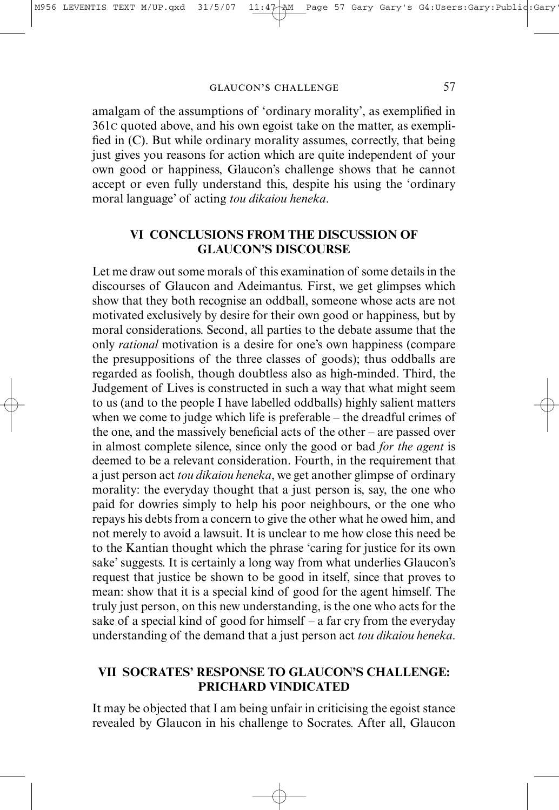amalgam of the assumptions of 'ordinary morality', as exemplified in 361c quoted above, and his own egoist take on the matter, as exemplified in (C). But while ordinary morality assumes, correctly, that being just gives you reasons for action which are quite independent of your own good or happiness, Glaucon's challenge shows that he cannot accept or even fully understand this, despite his using the 'ordinary moral language' of acting *tou dikaiou heneka*.

# **VI CONCLUSIONS FROM THE DISCUSSION OF GLAUCON'S DISCOURSE**

Let me draw out some morals of this examination of some details in the discourses of Glaucon and Adeimantus. First, we get glimpses which show that they both recognise an oddball, someone whose acts are not motivated exclusively by desire for their own good or happiness, but by moral considerations. Second, all parties to the debate assume that the only *rational* motivation is a desire for one's own happiness (compare the presuppositions of the three classes of goods); thus oddballs are regarded as foolish, though doubtless also as high-minded. Third, the Judgement of Lives is constructed in such a way that what might seem to us (and to the people I have labelled oddballs) highly salient matters when we come to judge which life is preferable – the dreadful crimes of the one, and the massively beneficial acts of the other – are passed over in almost complete silence, since only the good or bad *for the agent* is deemed to be a relevant consideration. Fourth, in the requirement that a just person act *tou dikaiou heneka*, we get another glimpse of ordinary morality: the everyday thought that a just person is, say, the one who paid for dowries simply to help his poor neighbours, or the one who repays his debts from a concern to give the other what he owed him, and not merely to avoid a lawsuit. It is unclear to me how close this need be to the Kantian thought which the phrase 'caring for justice for its own sake' suggests. It is certainly a long way from what underlies Glaucon's request that justice be shown to be good in itself, since that proves to mean: show that it is a special kind of good for the agent himself. The truly just person, on this new understanding, is the one who acts for the sake of a special kind of good for himself – a far cry from the everyday understanding of the demand that a just person act *tou dikaiou heneka*.

# **VII SOCRATES' RESPONSE TO GLAUCON'S CHALLENGE: PRICHARD VINDICATED**

It may be objected that I am being unfair in criticising the egoist stance revealed by Glaucon in his challenge to Socrates. After all, Glaucon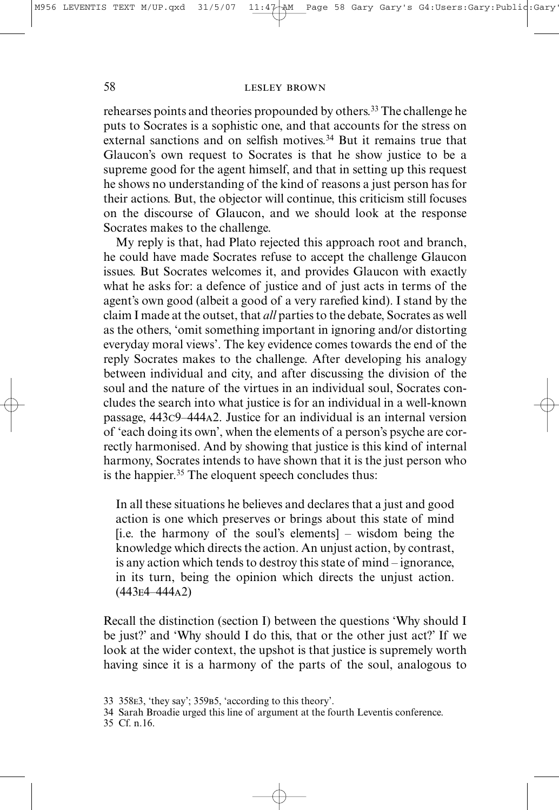rehearses points and theories propounded by others.<sup>33</sup> The challenge he puts to Socrates is a sophistic one, and that accounts for the stress on external sanctions and on selfish motives.<sup>34</sup> But it remains true that Glaucon's own request to Socrates is that he show justice to be a supreme good for the agent himself, and that in setting up this request he shows no understanding of the kind of reasons a just person has for their actions. But, the objector will continue, this criticism still focuses on the discourse of Glaucon, and we should look at the response Socrates makes to the challenge.

My reply is that, had Plato rejected this approach root and branch, he could have made Socrates refuse to accept the challenge Glaucon issues. But Socrates welcomes it, and provides Glaucon with exactly what he asks for: a defence of justice and of just acts in terms of the agent's own good (albeit a good of a very rarefied kind). I stand by the claim I made at the outset, that *all* parties to the debate, Socrates as well as the others, 'omit something important in ignoring and/or distorting everyday moral views'. The key evidence comes towards the end of the reply Socrates makes to the challenge. After developing his analogy between individual and city, and after discussing the division of the soul and the nature of the virtues in an individual soul, Socrates concludes the search into what justice is for an individual in a well-known passage, 443c9–444A2. Justice for an individual is an internal version of 'each doing its own', when the elements of a person's psyche are correctly harmonised. And by showing that justice is this kind of internal harmony, Socrates intends to have shown that it is the just person who is the happier.<sup>35</sup> The eloquent speech concludes thus:

In all these situations he believes and declares that a just and good action is one which preserves or brings about this state of mind [i.e. the harmony of the soul's elements] – wisdom being the knowledge which directs the action. An unjust action, by contrast, is any action which tends to destroy this state of mind – ignorance, in its turn, being the opinion which directs the unjust action.  $(443E4 - 444A2)$ 

Recall the distinction (section I) between the questions 'Why should I be just?' and 'Why should I do this, that or the other just act?' If we look at the wider context, the upshot is that justice is supremely worth having since it is a harmony of the parts of the soul, analogous to

<sup>33 358</sup>3, 'they say'; 3595, 'according to this theory'.

<sup>34</sup> Sarah Broadie urged this line of argument at the fourth Leventis conference.

<sup>35</sup> Cf. n.16.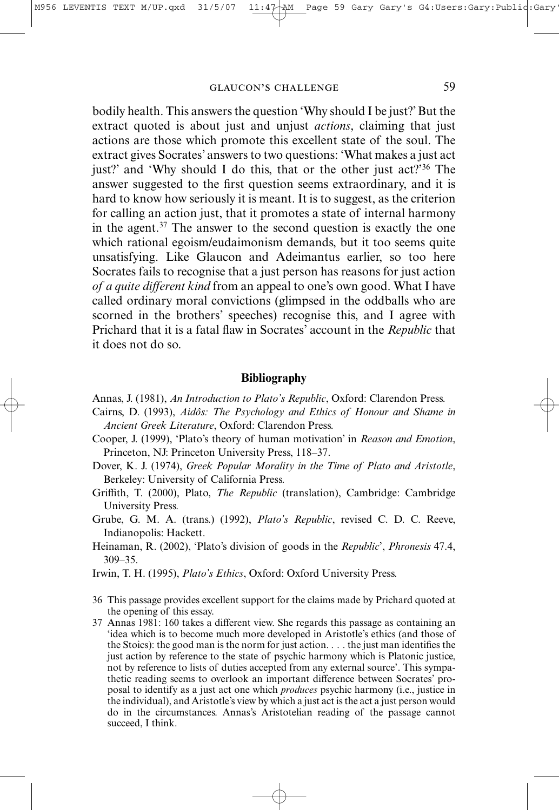bodily health. This answers the question 'Why should I be just?' But the extract quoted is about just and unjust *actions*, claiming that just actions are those which promote this excellent state of the soul. The extract gives Socrates' answers to two questions: 'What makes a just act just?' and 'Why should I do this, that or the other just act?'36 The answer suggested to the first question seems extraordinary, and it is hard to know how seriously it is meant. It is to suggest, as the criterion for calling an action just, that it promotes a state of internal harmony in the agent.37 The answer to the second question is exactly the one which rational egoism/eudaimonism demands, but it too seems quite unsatisfying. Like Glaucon and Adeimantus earlier, so too here Socrates fails to recognise that a just person has reasons for just action *of a quite different kind* from an appeal to one's own good. What I have called ordinary moral convictions (glimpsed in the oddballs who are scorned in the brothers' speeches) recognise this, and I agree with Prichard that it is a fatal flaw in Socrates' account in the *Republic* that it does not do so.

#### **Bibliography**

- Annas, J. (1981), *An Introduction to Plato's Republic*, Oxford: Clarendon Press.
- Cairns, D. (1993), *Aidôs: The Psychology and Ethics of Honour and Shame in Ancient Greek Literature*, Oxford: Clarendon Press.
- Cooper, J. (1999), 'Plato's theory of human motivation' in *Reason and Emotion*, Princeton, NJ: Princeton University Press, 118–37.
- Dover, K. J. (1974), *Greek Popular Morality in the Time of Plato and Aristotle*, Berkeley: University of California Press.
- Griffith, T. (2000), Plato, *The Republic* (translation), Cambridge: Cambridge University Press.
- Grube, G. M. A. (trans.) (1992), *Plato's Republic*, revised C. D. C. Reeve, Indianopolis: Hackett.
- Heinaman, R. (2002), 'Plato's division of goods in the *Republic*', *Phronesis* 47.4, 309–35.
- Irwin, T. H. (1995), *Plato's Ethics*, Oxford: Oxford University Press.
- 36 This passage provides excellent support for the claims made by Prichard quoted at the opening of this essay.
- 37 Annas 1981: 160 takes a different view. She regards this passage as containing an 'idea which is to become much more developed in Aristotle's ethics (and those of the Stoics): the good man is the norm for just action. . . . the just man identifies the just action by reference to the state of psychic harmony which is Platonic justice, not by reference to lists of duties accepted from any external source'. This sympathetic reading seems to overlook an important difference between Socrates' proposal to identify as a just act one which *produces* psychic harmony (i.e., justice in the individual), and Aristotle's view by which a just act is the act a just person would do in the circumstances. Annas's Aristotelian reading of the passage cannot succeed, I think.